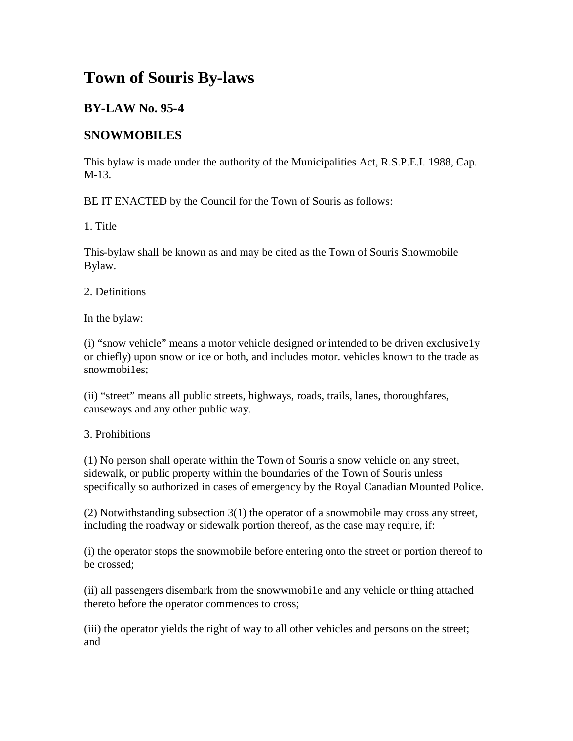# **Town of Souris By-laws**

## **BY-LAW No. 95-4**

## **SNOWMOBILES**

This bylaw is made under the authority of the Municipalities Act, R.S.P.E.I. 1988, Cap. M-13.

BE IT ENACTED by the Council for the Town of Souris as follows:

1. Title

This-bylaw shall be known as and may be cited as the Town of Souris Snowmobile Bylaw.

2. Definitions

In the bylaw:

(i) "snow vehicle" means a motor vehicle designed or intended to be driven exclusive1y or chiefly) upon snow or ice or both, and includes motor. vehicles known to the trade as snowmobi1es;

(ii) "street" means all public streets, highways, roads, trails, lanes, thoroughfares, causeways and any other public way.

3. Prohibitions

(1) No person shall operate within the Town of Souris a snow vehicle on any street, sidewalk, or public property within the boundaries of the Town of Souris unless specifically so authorized in cases of emergency by the Royal Canadian Mounted Police.

(2) Notwithstanding subsection 3(1) the operator of a snowmobile may cross any street, including the roadway or sidewalk portion thereof, as the case may require, if:

(i) the operator stops the snowmobile before entering onto the street or portion thereof to be crossed;

(ii) all passengers disembark from the snowwmobi1e and any vehicle or thing attached thereto before the operator commences to cross;

(iii) the operator yields the right of way to all other vehicles and persons on the street; and